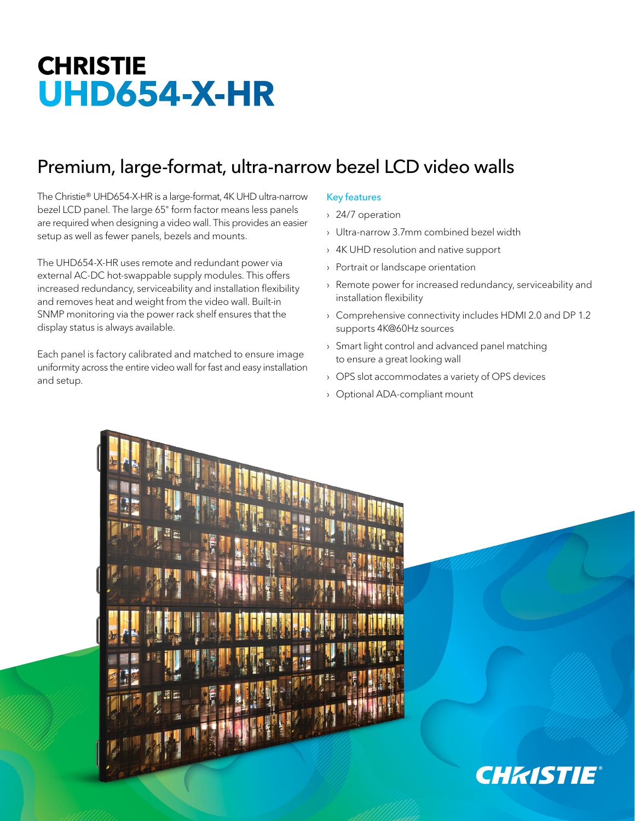# **CHRISTIE UHD654-X-HR**

# Premium, large-format, ultra-narrow bezel LCD video walls

The Christie® UHD654-X-HR is a large-format, 4K UHD ultra-narrow bezel LCD panel. The large 65" form factor means less panels are required when designing a video wall. This provides an easier setup as well as fewer panels, bezels and mounts.

The UHD654-X-HR uses remote and redundant power via external AC-DC hot-swappable supply modules. This offers increased redundancy, serviceability and installation flexibility and removes heat and weight from the video wall. Built-in SNMP monitoring via the power rack shelf ensures that the display status is always available.

Each panel is factory calibrated and matched to ensure image uniformity across the entire video wall for fast and easy installation and setup.

# Key features

- › 24/7 operation
- › Ultra-narrow 3.7mm combined bezel width
- › 4K UHD resolution and native support
- › Portrait or landscape orientation
- › Remote power for increased redundancy, serviceability and installation flexibility
- › Comprehensive connectivity includes HDMI 2.0 and DP 1.2 supports 4K@60Hz sources
- › Smart light control and advanced panel matching to ensure a great looking wall
- › OPS slot accommodates a variety of OPS devices
- › Optional ADA-compliant mount